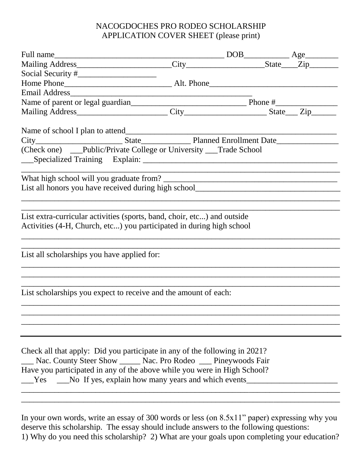## NACOGDOCHES PRO RODEO SCHOLARSHIP APPLICATION COVER SHEET (please print)

| Name of parent or legal guardian<br>Mailing Address<br>City<br>City<br>City<br>State<br>City<br>State<br>City                                                                                                                                                                                      |  |  |
|----------------------------------------------------------------------------------------------------------------------------------------------------------------------------------------------------------------------------------------------------------------------------------------------------|--|--|
|                                                                                                                                                                                                                                                                                                    |  |  |
|                                                                                                                                                                                                                                                                                                    |  |  |
|                                                                                                                                                                                                                                                                                                    |  |  |
| (Check one) __Public/Private College or University __Trade School                                                                                                                                                                                                                                  |  |  |
|                                                                                                                                                                                                                                                                                                    |  |  |
| List all honors you have received during high school_____________________________                                                                                                                                                                                                                  |  |  |
|                                                                                                                                                                                                                                                                                                    |  |  |
|                                                                                                                                                                                                                                                                                                    |  |  |
| List extra-curricular activities (sports, band, choir, etc) and outside<br>Activities (4-H, Church, etc) you participated in during high school                                                                                                                                                    |  |  |
| List all scholarships you have applied for:                                                                                                                                                                                                                                                        |  |  |
|                                                                                                                                                                                                                                                                                                    |  |  |
| List scholarships you expect to receive and the amount of each:                                                                                                                                                                                                                                    |  |  |
|                                                                                                                                                                                                                                                                                                    |  |  |
|                                                                                                                                                                                                                                                                                                    |  |  |
| Check all that apply: Did you participate in any of the following in 2021?<br>__ Nac. County Steer Show _____ Nac. Pro Rodeo ___ Pineywoods Fair<br>Have you participated in any of the above while you were in High School?<br><u>Solution</u> No If yes, explain how many years and which events |  |  |

In your own words, write an essay of 300 words or less (on 8.5x11" paper) expressing why you deserve this scholarship. The essay should include answers to the following questions: 1) Why do you need this scholarship? 2) What are your goals upon completing your education?

\_\_\_\_\_\_\_\_\_\_\_\_\_\_\_\_\_\_\_\_\_\_\_\_\_\_\_\_\_\_\_\_\_\_\_\_\_\_\_\_\_\_\_\_\_\_\_\_\_\_\_\_\_\_\_\_\_\_\_\_\_\_\_\_\_\_\_\_\_\_\_\_\_\_\_\_\_